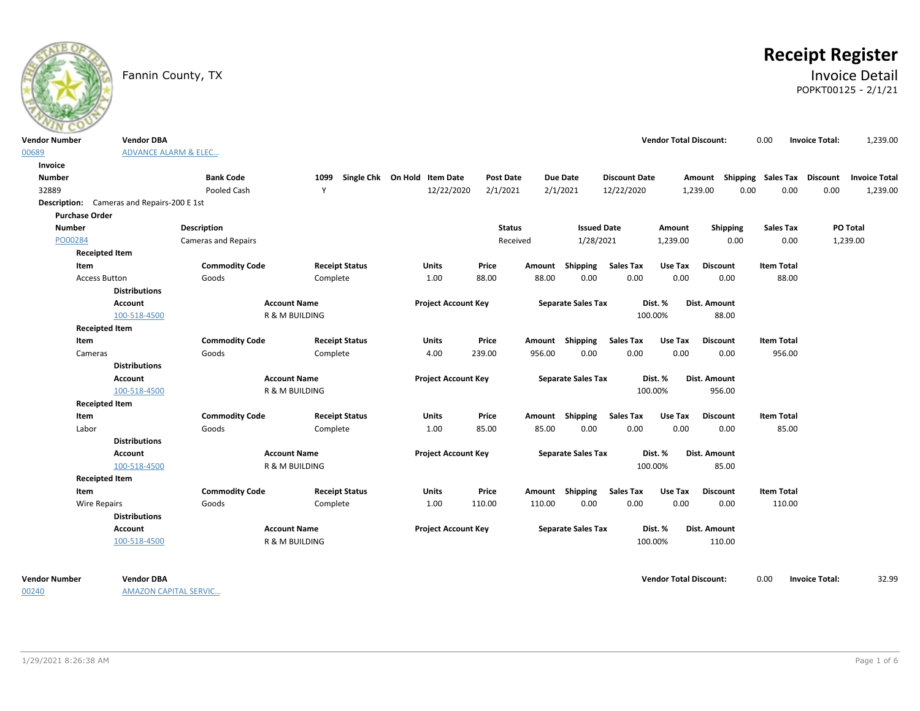

# **Receipt Register**

### Fannin County, TX **Invoice Detail** POPKT00125 - 2/1/21

| <b>Vendor Number</b>  | <b>Vendor DBA</b>                          |                            |                       |                                   |                  |        |                           |                      | <b>Vendor Total Discount:</b> |                                                  | 0.00              | <b>Invoice Total:</b> | 1,239.00 |
|-----------------------|--------------------------------------------|----------------------------|-----------------------|-----------------------------------|------------------|--------|---------------------------|----------------------|-------------------------------|--------------------------------------------------|-------------------|-----------------------|----------|
| 00689                 | <b>ADVANCE ALARM &amp; ELEC</b>            |                            |                       |                                   |                  |        |                           |                      |                               |                                                  |                   |                       |          |
| Invoice               |                                            |                            |                       |                                   |                  |        |                           |                      |                               |                                                  |                   |                       |          |
| <b>Number</b>         |                                            | <b>Bank Code</b>           |                       | 1099 Single Chk On Hold Item Date | <b>Post Date</b> |        | <b>Due Date</b>           | <b>Discount Date</b> |                               | Amount Shipping Sales Tax Discount Invoice Total |                   |                       |          |
| 32889                 |                                            | Pooled Cash                | Y                     | 12/22/2020                        | 2/1/2021         |        | 2/1/2021                  | 12/22/2020           |                               | 1,239.00<br>0.00                                 | 0.00              | 0.00                  | 1,239.00 |
|                       | Description: Cameras and Repairs-200 E 1st |                            |                       |                                   |                  |        |                           |                      |                               |                                                  |                   |                       |          |
| <b>Purchase Order</b> |                                            |                            |                       |                                   |                  |        |                           |                      |                               |                                                  |                   |                       |          |
| <b>Number</b>         |                                            | <b>Description</b>         |                       |                                   | <b>Status</b>    |        | <b>Issued Date</b>        |                      | Amount                        | Shipping                                         | <b>Sales Tax</b>  |                       | PO Total |
| PO00284               |                                            | <b>Cameras and Repairs</b> |                       |                                   | Received         |        | 1/28/2021                 |                      | 1,239.00                      | 0.00                                             | 0.00              |                       | 1,239.00 |
|                       | <b>Receipted Item</b>                      |                            |                       |                                   |                  |        |                           |                      |                               |                                                  |                   |                       |          |
| Item                  |                                            | <b>Commodity Code</b>      | <b>Receipt Status</b> | <b>Units</b>                      | Price            |        | Amount Shipping           | <b>Sales Tax</b>     | Use Tax                       | <b>Discount</b>                                  | <b>Item Total</b> |                       |          |
|                       | <b>Access Button</b>                       | Goods                      | Complete              | 1.00                              | 88.00            | 88.00  | 0.00                      | 0.00                 | 0.00                          | 0.00                                             | 88.00             |                       |          |
|                       | <b>Distributions</b>                       |                            |                       |                                   |                  |        |                           |                      |                               |                                                  |                   |                       |          |
|                       | Account                                    | <b>Account Name</b>        |                       | <b>Project Account Key</b>        |                  |        | <b>Separate Sales Tax</b> |                      | Dist. %                       | Dist. Amount                                     |                   |                       |          |
|                       | 100-518-4500                               | R & M BUILDING             |                       |                                   |                  |        |                           |                      | 100.00%                       | 88.00                                            |                   |                       |          |
|                       | <b>Receipted Item</b>                      |                            |                       |                                   |                  |        |                           |                      |                               |                                                  |                   |                       |          |
| Item                  |                                            | <b>Commodity Code</b>      | <b>Receipt Status</b> | <b>Units</b>                      | Price            |        | Amount Shipping           | <b>Sales Tax</b>     | Use Tax                       | <b>Discount</b>                                  | <b>Item Total</b> |                       |          |
| Cameras               |                                            | Goods                      | Complete              | 4.00                              | 239.00           | 956.00 | 0.00                      | 0.00                 | 0.00                          | 0.00                                             | 956.00            |                       |          |
|                       | <b>Distributions</b>                       |                            |                       |                                   |                  |        |                           |                      |                               |                                                  |                   |                       |          |
|                       | Account                                    | <b>Account Name</b>        |                       | <b>Project Account Key</b>        |                  |        | <b>Separate Sales Tax</b> |                      | Dist. %                       | Dist. Amount                                     |                   |                       |          |
|                       | 100-518-4500                               | R & M BUILDING             |                       |                                   |                  |        |                           | 100.00%              |                               | 956.00                                           |                   |                       |          |
|                       | <b>Receipted Item</b>                      |                            |                       |                                   |                  |        |                           |                      |                               |                                                  |                   |                       |          |
| Item                  |                                            | <b>Commodity Code</b>      | <b>Receipt Status</b> | <b>Units</b>                      | Price            |        | Amount Shipping           | <b>Sales Tax</b>     | Use Tax                       | <b>Discount</b>                                  | <b>Item Total</b> |                       |          |
| Labor                 |                                            | Goods                      | Complete              | 1.00                              | 85.00            | 85.00  | 0.00                      | 0.00                 | 0.00                          | 0.00                                             | 85.00             |                       |          |
|                       | <b>Distributions</b>                       |                            |                       |                                   |                  |        |                           |                      |                               |                                                  |                   |                       |          |
|                       | Account                                    | <b>Account Name</b>        |                       | <b>Project Account Key</b>        |                  |        | <b>Separate Sales Tax</b> |                      | Dist. %                       | Dist. Amount                                     |                   |                       |          |
|                       | 100-518-4500                               | R & M BUILDING             |                       |                                   |                  |        |                           |                      | 100.00%                       | 85.00                                            |                   |                       |          |
|                       | <b>Receipted Item</b>                      |                            |                       |                                   |                  |        |                           |                      |                               |                                                  |                   |                       |          |
| Item                  |                                            | <b>Commodity Code</b>      | <b>Receipt Status</b> | <b>Units</b>                      | Price            |        | Amount Shipping           | <b>Sales Tax</b>     | Use Tax                       | <b>Discount</b>                                  | <b>Item Total</b> |                       |          |
|                       | <b>Wire Repairs</b>                        | Goods                      | Complete              | 1.00                              | 110.00           | 110.00 | 0.00                      | 0.00                 | 0.00                          | 0.00                                             | 110.00            |                       |          |
|                       | <b>Distributions</b>                       |                            |                       |                                   |                  |        |                           |                      |                               |                                                  |                   |                       |          |
|                       | <b>Account</b>                             | <b>Account Name</b>        |                       | <b>Project Account Key</b>        |                  |        | <b>Separate Sales Tax</b> |                      | Dist. %                       | Dist. Amount                                     |                   |                       |          |
|                       | 100-518-4500                               | <b>R &amp; M BUILDING</b>  |                       |                                   |                  |        |                           |                      | 100.00%                       | 110.00                                           |                   |                       |          |
|                       |                                            |                            |                       |                                   |                  |        |                           |                      |                               |                                                  |                   |                       |          |
|                       |                                            |                            |                       |                                   |                  |        |                           |                      |                               |                                                  |                   |                       |          |

00240

AMAZON CAPITAL SERVIC…

**Vendor Number Vendor Total Discount:** 32.99 **Vendor DBA** 0.00 **Invoice Total:**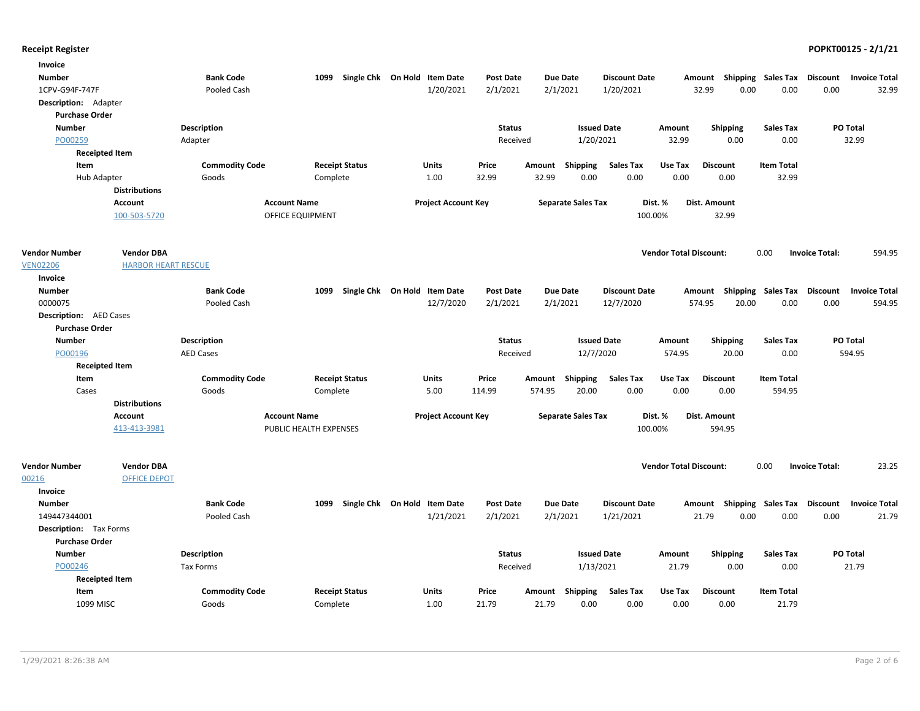| Invoice                                |                            |                       |                         |                              |                            |                           |                      |                               |                 |                                    |                       |                      |
|----------------------------------------|----------------------------|-----------------------|-------------------------|------------------------------|----------------------------|---------------------------|----------------------|-------------------------------|-----------------|------------------------------------|-----------------------|----------------------|
| <b>Number</b>                          |                            | <b>Bank Code</b>      | 1099                    | Single Chk On Hold Item Date | <b>Post Date</b>           | <b>Due Date</b>           | <b>Discount Date</b> | Amount                        |                 | Shipping Sales Tax Discount        |                       | <b>Invoice Total</b> |
| 1CPV-G94F-747F                         |                            | Pooled Cash           |                         | 1/20/2021                    | 2/1/2021                   | 2/1/2021                  | 1/20/2021            | 32.99                         | 0.00            | 0.00                               | 0.00                  | 32.99                |
| Description: Adapter                   |                            |                       |                         |                              |                            |                           |                      |                               |                 |                                    |                       |                      |
| <b>Purchase Order</b>                  |                            |                       |                         |                              |                            |                           |                      |                               |                 |                                    |                       |                      |
| <b>Number</b>                          |                            | Description           |                         |                              | <b>Status</b>              |                           | <b>Issued Date</b>   | Amount                        | Shipping        | <b>Sales Tax</b>                   |                       | PO Total             |
| PO00259                                |                            | Adapter               |                         |                              | Received                   |                           | 1/20/2021            | 32.99                         | 0.00            | 0.00                               |                       | 32.99                |
|                                        | <b>Receipted Item</b>      |                       |                         |                              |                            |                           |                      |                               |                 |                                    |                       |                      |
| Item                                   |                            | <b>Commodity Code</b> | <b>Receipt Status</b>   | Units                        | Price                      | Amount<br>Shipping        | <b>Sales Tax</b>     | Use Tax                       | <b>Discount</b> | <b>Item Total</b>                  |                       |                      |
| Hub Adapter                            |                            | Goods                 | Complete                | 1.00                         | 32.99                      | 32.99<br>0.00             | 0.00                 | 0.00                          | 0.00            | 32.99                              |                       |                      |
|                                        | <b>Distributions</b>       |                       |                         |                              |                            |                           |                      |                               |                 |                                    |                       |                      |
|                                        | <b>Account</b>             | <b>Account Name</b>   |                         |                              | <b>Project Account Key</b> | <b>Separate Sales Tax</b> |                      | Dist. %<br>Dist. Amount       |                 |                                    |                       |                      |
|                                        | 100-503-5720               |                       | <b>OFFICE EQUIPMENT</b> |                              |                            |                           | 100.00%              |                               | 32.99           |                                    |                       |                      |
| <b>Vendor Number</b>                   | <b>Vendor DBA</b>          |                       |                         |                              |                            |                           |                      | <b>Vendor Total Discount:</b> |                 | 0.00                               | <b>Invoice Total:</b> | 594.95               |
| <b>VEN02206</b>                        | <b>HARBOR HEART RESCUE</b> |                       |                         |                              |                            |                           |                      |                               |                 |                                    |                       |                      |
| Invoice                                |                            |                       |                         |                              |                            |                           |                      |                               |                 |                                    |                       |                      |
| <b>Number</b>                          |                            | <b>Bank Code</b>      | 1099                    | Single Chk On Hold Item Date | <b>Post Date</b>           | <b>Due Date</b>           | <b>Discount Date</b> |                               |                 | Amount Shipping Sales Tax Discount |                       | <b>Invoice Total</b> |
| 0000075                                |                            | Pooled Cash           |                         | 12/7/2020                    | 2/1/2021                   | 2/1/2021                  | 12/7/2020            | 574.95                        | 20.00           | 0.00                               | 0.00                  | 594.95               |
| <b>Description:</b> AED Cases          |                            |                       |                         |                              |                            |                           |                      |                               |                 |                                    |                       |                      |
| <b>Purchase Order</b><br><b>Number</b> |                            | <b>Description</b>    |                         |                              | <b>Status</b>              |                           | <b>Issued Date</b>   |                               | Shipping        | <b>Sales Tax</b>                   |                       | PO Total             |
| PO00196                                |                            | <b>AED Cases</b>      |                         |                              | Received                   |                           | 12/7/2020            | Amount<br>574.95              | 20.00           | 0.00                               |                       | 594.95               |
| <b>Receipted Item</b>                  |                            |                       |                         |                              |                            |                           |                      |                               |                 |                                    |                       |                      |
| Item                                   |                            | <b>Commodity Code</b> | <b>Receipt Status</b>   | <b>Units</b>                 | Price                      | Shipping<br>Amount        | <b>Sales Tax</b>     | Use Tax                       | <b>Discount</b> | <b>Item Total</b>                  |                       |                      |
| Cases                                  |                            | Goods                 | Complete                | 5.00                         | 114.99                     | 574.95<br>20.00           | 0.00                 | 0.00                          | 0.00            | 594.95                             |                       |                      |
|                                        | <b>Distributions</b>       |                       |                         |                              |                            |                           |                      |                               |                 |                                    |                       |                      |
|                                        | Account                    | <b>Account Name</b>   |                         |                              | <b>Project Account Key</b> | <b>Separate Sales Tax</b> |                      | Dist. %<br>Dist. Amount       |                 |                                    |                       |                      |
|                                        | 413-413-3981               |                       | PUBLIC HEALTH EXPENSES  |                              |                            |                           | 100.00%              |                               | 594.95          |                                    |                       |                      |
| <b>Vendor Number</b>                   | <b>Vendor DBA</b>          |                       |                         |                              |                            |                           |                      | <b>Vendor Total Discount:</b> |                 | 0.00                               | <b>Invoice Total:</b> | 23.25                |
| 00216                                  | <b>OFFICE DEPOT</b>        |                       |                         |                              |                            |                           |                      |                               |                 |                                    |                       |                      |
| Invoice                                |                            |                       |                         |                              |                            |                           |                      |                               |                 |                                    |                       |                      |
| <b>Number</b>                          |                            | <b>Bank Code</b>      | 1099                    | Single Chk On Hold Item Date | <b>Post Date</b>           | <b>Due Date</b>           | <b>Discount Date</b> | Amount                        |                 | Shipping Sales Tax Discount        |                       | <b>Invoice Total</b> |
| 149447344001                           |                            | Pooled Cash           |                         | 1/21/2021                    | 2/1/2021                   | 2/1/2021                  | 1/21/2021            | 21.79                         | 0.00            | 0.00                               | 0.00                  | 21.79                |
| <b>Description:</b> Tax Forms          |                            |                       |                         |                              |                            |                           |                      |                               |                 |                                    |                       |                      |
| <b>Purchase Order</b>                  |                            |                       |                         |                              |                            |                           |                      |                               |                 |                                    |                       |                      |
| <b>Number</b>                          |                            | Description           |                         |                              | <b>Status</b>              |                           | <b>Issued Date</b>   | Amount                        | <b>Shipping</b> | <b>Sales Tax</b>                   |                       | PO Total             |
| PO00246                                |                            | <b>Tax Forms</b>      |                         |                              | Received                   |                           | 1/13/2021            | 21.79                         | 0.00            | 0.00                               |                       | 21.79                |
|                                        | <b>Receipted Item</b>      |                       |                         |                              |                            |                           |                      |                               |                 |                                    |                       |                      |
| Item                                   |                            | <b>Commodity Code</b> | <b>Receipt Status</b>   | Units                        | Price                      | Shipping<br>Amount        | <b>Sales Tax</b>     | Use Tax                       | <b>Discount</b> | <b>Item Total</b>                  |                       |                      |
| 1099 MISC                              |                            | Goods                 | Complete                | 1.00                         | 21.79                      | 21.79<br>0.00             | 0.00                 | 0.00                          | 0.00            | 21.79                              |                       |                      |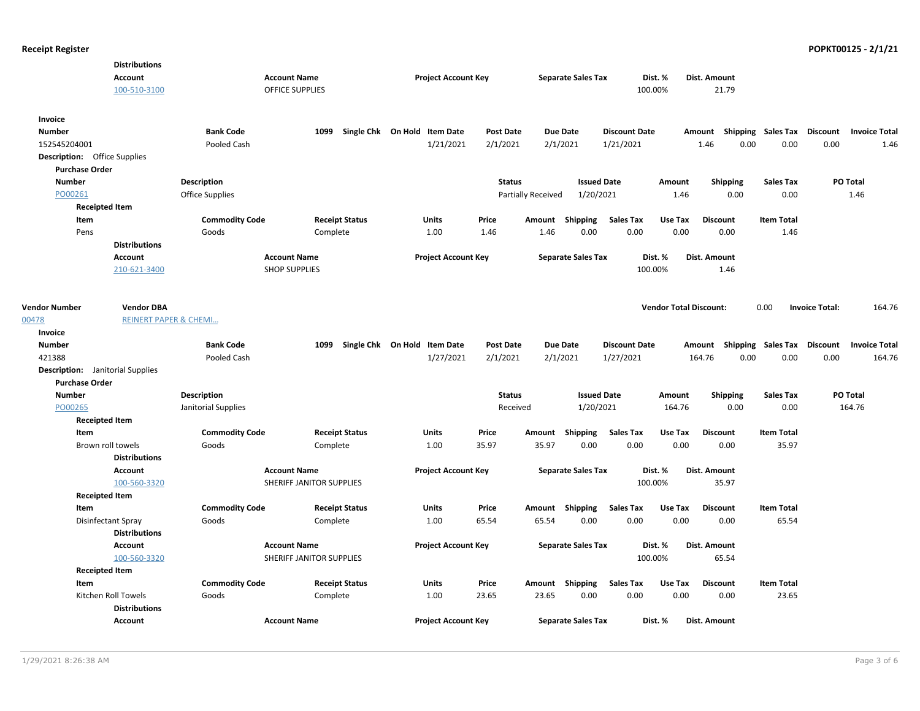|                                         | <b>Distributions</b>             |                       |                          |                              |                  |                    |                           |                      |                               |                 |                           |                       |                      |
|-----------------------------------------|----------------------------------|-----------------------|--------------------------|------------------------------|------------------|--------------------|---------------------------|----------------------|-------------------------------|-----------------|---------------------------|-----------------------|----------------------|
|                                         | Account                          |                       | <b>Account Name</b>      | <b>Project Account Key</b>   |                  |                    | <b>Separate Sales Tax</b> |                      | Dist. %                       | Dist. Amount    |                           |                       |                      |
|                                         | 100-510-3100                     |                       | <b>OFFICE SUPPLIES</b>   |                              |                  |                    |                           |                      | 100.00%                       | 21.79           |                           |                       |                      |
| Invoice                                 |                                  |                       |                          |                              |                  |                    |                           |                      |                               |                 |                           |                       |                      |
| <b>Number</b>                           |                                  | <b>Bank Code</b>      | 1099                     | Single Chk On Hold Item Date | <b>Post Date</b> |                    | <b>Due Date</b>           | <b>Discount Date</b> |                               | Amount          | Shipping Sales Tax        | Discount              | <b>Invoice Total</b> |
| 152545204001                            |                                  | Pooled Cash           |                          | 1/21/2021                    | 2/1/2021         |                    | 2/1/2021                  | 1/21/2021            |                               | 1.46            | 0.00<br>0.00              | 0.00                  | 1.46                 |
| <b>Description:</b> Office Supplies     |                                  |                       |                          |                              |                  |                    |                           |                      |                               |                 |                           |                       |                      |
| <b>Purchase Order</b>                   |                                  |                       |                          |                              |                  |                    |                           |                      |                               |                 |                           |                       |                      |
| <b>Number</b>                           |                                  | <b>Description</b>    |                          |                              | <b>Status</b>    |                    | <b>Issued Date</b>        |                      | Amount                        | <b>Shipping</b> | <b>Sales Tax</b>          |                       | PO Total             |
| PO00261                                 |                                  | Office Supplies       |                          |                              |                  | Partially Received | 1/20/2021                 |                      | 1.46                          | 0.00            | 0.00                      |                       | 1.46                 |
| <b>Receipted Item</b>                   |                                  |                       |                          |                              |                  |                    |                           |                      |                               |                 |                           |                       |                      |
| Item                                    |                                  | <b>Commodity Code</b> | <b>Receipt Status</b>    | Units                        | Price            |                    | Amount Shipping           | <b>Sales Tax</b>     | Use Tax                       | <b>Discount</b> | <b>Item Total</b>         |                       |                      |
| Pens                                    |                                  | Goods                 | Complete                 | 1.00                         | 1.46             | 1.46               | 0.00                      | 0.00                 | 0.00                          | 0.00            | 1.46                      |                       |                      |
|                                         | <b>Distributions</b>             |                       |                          |                              |                  |                    |                           |                      |                               |                 |                           |                       |                      |
|                                         | Account                          |                       | <b>Account Name</b>      | <b>Project Account Key</b>   |                  |                    | <b>Separate Sales Tax</b> | Dist. %              |                               | Dist. Amount    |                           |                       |                      |
|                                         | 210-621-3400                     |                       | <b>SHOP SUPPLIES</b>     |                              |                  |                    |                           |                      | 100.00%                       | 1.46            |                           |                       |                      |
|                                         |                                  |                       |                          |                              |                  |                    |                           |                      |                               |                 |                           |                       |                      |
| <b>Vendor Number</b>                    | <b>Vendor DBA</b>                |                       |                          |                              |                  |                    |                           |                      | <b>Vendor Total Discount:</b> |                 | 0.00                      | <b>Invoice Total:</b> | 164.76               |
| 00478                                   | <b>REINERT PAPER &amp; CHEMI</b> |                       |                          |                              |                  |                    |                           |                      |                               |                 |                           |                       |                      |
| Invoice                                 |                                  |                       |                          |                              |                  |                    |                           |                      |                               |                 |                           |                       |                      |
| <b>Number</b>                           |                                  | <b>Bank Code</b>      | 1099                     | Single Chk On Hold Item Date | <b>Post Date</b> |                    | Due Date                  | <b>Discount Date</b> |                               |                 | Amount Shipping Sales Tax | <b>Discount</b>       | <b>Invoice Total</b> |
| 421388                                  |                                  | Pooled Cash           |                          | 1/27/2021                    | 2/1/2021         |                    | 2/1/2021                  | 1/27/2021            |                               | 164.76          | 0.00<br>0.00              | 0.00                  | 164.76               |
| <b>Description:</b> Janitorial Supplies |                                  |                       |                          |                              |                  |                    |                           |                      |                               |                 |                           |                       |                      |
| <b>Purchase Order</b>                   |                                  |                       |                          |                              |                  |                    |                           |                      |                               |                 |                           |                       |                      |
| <b>Number</b>                           |                                  | Description           |                          |                              | <b>Status</b>    |                    | <b>Issued Date</b>        |                      | Amount                        | <b>Shipping</b> | <b>Sales Tax</b>          |                       | PO Total             |
| PO00265                                 |                                  | Janitorial Supplies   |                          |                              | Received         |                    | 1/20/2021                 |                      | 164.76                        | 0.00            | 0.00                      |                       | 164.76               |
| <b>Receipted Item</b>                   |                                  |                       |                          |                              |                  |                    |                           |                      |                               |                 |                           |                       |                      |
| Item                                    |                                  | <b>Commodity Code</b> | <b>Receipt Status</b>    | Units                        | Price            |                    | Amount Shipping           | Sales Tax            | Use Tax                       | <b>Discount</b> | <b>Item Total</b>         |                       |                      |
|                                         | Brown roll towels                | Goods                 | Complete                 | 1.00                         | 35.97            | 35.97              | 0.00                      | 0.00                 | 0.00                          | 0.00            | 35.97                     |                       |                      |
|                                         | <b>Distributions</b>             |                       |                          |                              |                  |                    |                           |                      |                               |                 |                           |                       |                      |
|                                         | Account                          |                       | <b>Account Name</b>      | <b>Project Account Key</b>   |                  |                    | <b>Separate Sales Tax</b> |                      | Dist. %                       | Dist. Amount    |                           |                       |                      |
|                                         | 100-560-3320                     |                       | SHERIFF JANITOR SUPPLIES |                              |                  |                    |                           |                      | 100.00%                       | 35.97           |                           |                       |                      |
| <b>Receipted Item</b>                   |                                  |                       |                          |                              |                  |                    |                           |                      |                               |                 |                           |                       |                      |
| Item                                    |                                  | <b>Commodity Code</b> | <b>Receipt Status</b>    | Units                        | Price            |                    | Amount Shipping           | Sales Tax            | Use Tax                       | <b>Discount</b> | <b>Item Total</b>         |                       |                      |
|                                         | <b>Disinfectant Spray</b>        | Goods                 | Complete                 | 1.00                         | 65.54            | 65.54              | 0.00                      | 0.00                 | 0.00                          | 0.00            | 65.54                     |                       |                      |
|                                         | <b>Distributions</b>             |                       |                          |                              |                  |                    |                           |                      |                               |                 |                           |                       |                      |
|                                         | Account                          |                       | <b>Account Name</b>      | <b>Project Account Key</b>   |                  |                    | <b>Separate Sales Tax</b> |                      | Dist. %                       | Dist. Amount    |                           |                       |                      |
|                                         | 100-560-3320                     |                       | SHERIFF JANITOR SUPPLIES |                              |                  |                    |                           |                      | 100.00%                       | 65.54           |                           |                       |                      |
| <b>Receipted Item</b>                   |                                  |                       |                          |                              |                  |                    |                           |                      |                               |                 |                           |                       |                      |
| Item                                    |                                  | <b>Commodity Code</b> | <b>Receipt Status</b>    | Units                        | Price            |                    | Amount Shipping           | Sales Tax            | Use Tax                       | <b>Discount</b> | <b>Item Total</b>         |                       |                      |
|                                         | Kitchen Roll Towels              | Goods                 | Complete                 | 1.00                         | 23.65            | 23.65              | 0.00                      | 0.00                 | 0.00                          | 0.00            | 23.65                     |                       |                      |
|                                         | <b>Distributions</b>             |                       |                          |                              |                  |                    |                           |                      |                               |                 |                           |                       |                      |
|                                         | Account                          |                       | <b>Account Name</b>      | <b>Project Account Key</b>   |                  |                    | <b>Separate Sales Tax</b> |                      | Dist. %                       | Dist. Amount    |                           |                       |                      |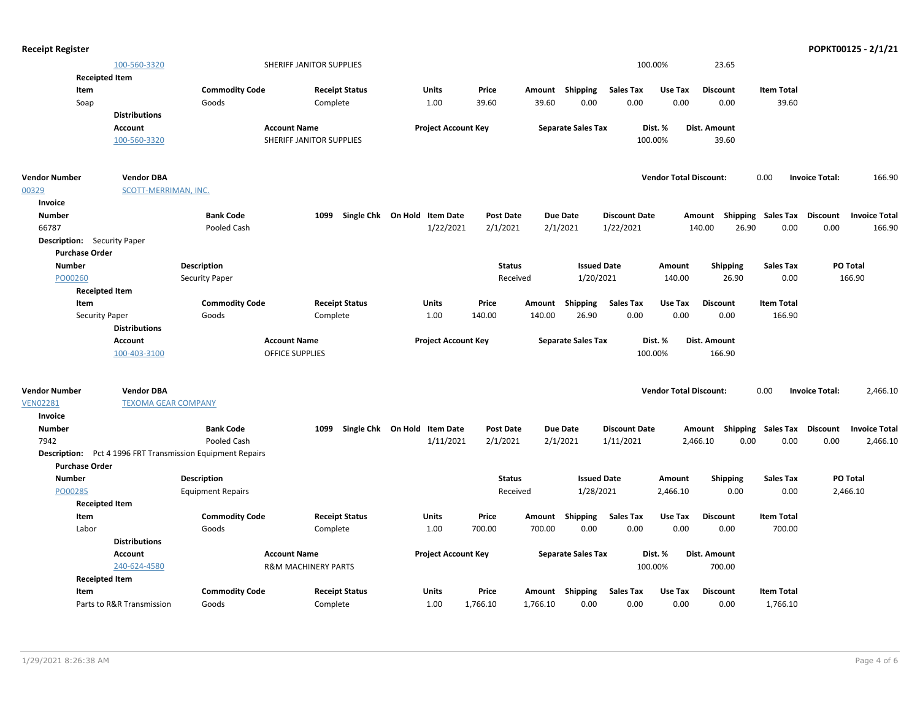| <b>Receipt Register</b>            |                            |                                                                   |                                |                              |                  |          |                           |                      |                               |                                    |                   |                       | POPKT00125 - 2/1/21  |
|------------------------------------|----------------------------|-------------------------------------------------------------------|--------------------------------|------------------------------|------------------|----------|---------------------------|----------------------|-------------------------------|------------------------------------|-------------------|-----------------------|----------------------|
|                                    | 100-560-3320               |                                                                   | SHERIFF JANITOR SUPPLIES       |                              |                  |          |                           | 100.00%              |                               | 23.65                              |                   |                       |                      |
|                                    | <b>Receipted Item</b>      |                                                                   |                                |                              |                  |          |                           |                      |                               |                                    |                   |                       |                      |
| Item                               |                            | <b>Commodity Code</b>                                             | <b>Receipt Status</b>          | <b>Units</b>                 | Price            |          | Amount Shipping           | <b>Sales Tax</b>     | Use Tax                       | <b>Discount</b>                    | <b>Item Total</b> |                       |                      |
| Soap                               |                            | Goods                                                             | Complete                       | 1.00                         | 39.60            | 39.60    | 0.00                      | 0.00                 | 0.00                          | 0.00                               | 39.60             |                       |                      |
|                                    | <b>Distributions</b>       |                                                                   |                                |                              |                  |          |                           |                      |                               |                                    |                   |                       |                      |
|                                    | Account                    |                                                                   | <b>Account Name</b>            | <b>Project Account Key</b>   |                  |          | <b>Separate Sales Tax</b> |                      | Dist. %                       | Dist. Amount                       |                   |                       |                      |
|                                    | 100-560-3320               |                                                                   | SHERIFF JANITOR SUPPLIES       |                              |                  |          |                           | 100.00%              |                               | 39.60                              |                   |                       |                      |
| <b>Vendor Number</b>               | <b>Vendor DBA</b>          |                                                                   |                                |                              |                  |          |                           |                      | <b>Vendor Total Discount:</b> |                                    | 0.00              | <b>Invoice Total:</b> | 166.90               |
| 00329                              | SCOTT-MERRIMAN, INC.       |                                                                   |                                |                              |                  |          |                           |                      |                               |                                    |                   |                       |                      |
| Invoice                            |                            |                                                                   |                                |                              |                  |          |                           |                      |                               |                                    |                   |                       |                      |
| <b>Number</b>                      |                            | <b>Bank Code</b>                                                  | 1099                           | Single Chk On Hold Item Date | <b>Post Date</b> |          | <b>Due Date</b>           | <b>Discount Date</b> |                               | Shipping<br>Amount                 | Sales Tax         | <b>Discount</b>       | <b>Invoice Total</b> |
| 66787                              |                            | Pooled Cash                                                       |                                | 1/22/2021                    | 2/1/2021         |          | 2/1/2021                  | 1/22/2021            |                               | 26.90<br>140.00                    | 0.00              | 0.00                  | 166.90               |
| <b>Description:</b> Security Paper |                            |                                                                   |                                |                              |                  |          |                           |                      |                               |                                    |                   |                       |                      |
| <b>Purchase Order</b>              |                            |                                                                   |                                |                              |                  |          |                           |                      |                               |                                    |                   |                       |                      |
| <b>Number</b>                      |                            | <b>Description</b>                                                |                                |                              | <b>Status</b>    |          | <b>Issued Date</b>        |                      | Amount                        | <b>Shipping</b>                    | <b>Sales Tax</b>  |                       | PO Total             |
| PO00260                            |                            | Security Paper                                                    |                                |                              | Received         |          | 1/20/2021                 |                      | 140.00                        | 26.90                              | 0.00              |                       | 166.90               |
|                                    | <b>Receipted Item</b>      |                                                                   |                                |                              |                  |          |                           |                      |                               |                                    |                   |                       |                      |
| Item                               |                            | <b>Commodity Code</b>                                             | <b>Receipt Status</b>          | Units                        | Price            | Amount   | Shipping                  | <b>Sales Tax</b>     | Use Tax                       | <b>Discount</b>                    | <b>Item Total</b> |                       |                      |
|                                    | <b>Security Paper</b>      | Goods                                                             | Complete                       | 1.00                         | 140.00           | 140.00   | 26.90                     | 0.00                 | 0.00                          | 0.00                               | 166.90            |                       |                      |
|                                    | <b>Distributions</b>       |                                                                   |                                |                              |                  |          |                           |                      |                               |                                    |                   |                       |                      |
|                                    | Account                    |                                                                   | <b>Account Name</b>            | <b>Project Account Key</b>   |                  |          | <b>Separate Sales Tax</b> |                      | Dist. %                       | <b>Dist. Amount</b>                |                   |                       |                      |
|                                    | 100-403-3100               |                                                                   | <b>OFFICE SUPPLIES</b>         |                              |                  |          |                           | 100.00%              |                               | 166.90                             |                   |                       |                      |
|                                    |                            |                                                                   |                                |                              |                  |          |                           |                      |                               |                                    |                   |                       |                      |
| <b>Vendor Number</b>               | <b>Vendor DBA</b>          |                                                                   |                                |                              |                  |          |                           |                      | <b>Vendor Total Discount:</b> |                                    | 0.00              | <b>Invoice Total:</b> | 2,466.10             |
| <b>VEN02281</b>                    | <b>TEXOMA GEAR COMPANY</b> |                                                                   |                                |                              |                  |          |                           |                      |                               |                                    |                   |                       |                      |
| Invoice                            |                            |                                                                   |                                |                              |                  |          |                           |                      |                               |                                    |                   |                       |                      |
| <b>Number</b>                      |                            | <b>Bank Code</b>                                                  | 1099                           | Single Chk On Hold Item Date | <b>Post Date</b> |          | <b>Due Date</b>           | <b>Discount Date</b> |                               | Amount Shipping Sales Tax Discount |                   |                       | <b>Invoice Total</b> |
| 7942                               |                            | Pooled Cash                                                       |                                | 1/11/2021                    | 2/1/2021         |          | 2/1/2021                  | 1/11/2021            |                               | 0.00<br>2,466.10                   | 0.00              | 0.00                  | 2,466.10             |
|                                    |                            | <b>Description:</b> Pct 4 1996 FRT Transmission Equipment Repairs |                                |                              |                  |          |                           |                      |                               |                                    |                   |                       |                      |
| <b>Purchase Order</b>              |                            |                                                                   |                                |                              |                  |          |                           |                      |                               |                                    |                   |                       |                      |
| <b>Number</b>                      |                            | <b>Description</b>                                                |                                |                              | <b>Status</b>    |          | <b>Issued Date</b>        |                      | Amount                        | <b>Shipping</b>                    | Sales Tax         |                       | <b>PO Total</b>      |
| PO00285                            |                            | <b>Equipment Repairs</b>                                          |                                |                              | Received         |          | 1/28/2021                 |                      | 2,466.10                      | 0.00                               | 0.00              |                       | 2,466.10             |
|                                    | <b>Receipted Item</b>      |                                                                   |                                |                              |                  |          |                           |                      |                               |                                    |                   |                       |                      |
| Item                               |                            | <b>Commodity Code</b>                                             | <b>Receipt Status</b>          | Units                        | Price            |          | Amount Shipping           | <b>Sales Tax</b>     | Use Tax                       | <b>Discount</b>                    | <b>Item Total</b> |                       |                      |
| Labor                              |                            | Goods                                                             | Complete                       | 1.00                         | 700.00           | 700.00   | 0.00                      | 0.00                 | 0.00                          | 0.00                               | 700.00            |                       |                      |
|                                    | <b>Distributions</b>       |                                                                   |                                |                              |                  |          |                           |                      |                               |                                    |                   |                       |                      |
|                                    | Account                    |                                                                   | <b>Account Name</b>            | <b>Project Account Key</b>   |                  |          | <b>Separate Sales Tax</b> |                      | Dist. %                       | Dist. Amount                       |                   |                       |                      |
|                                    | 240-624-4580               |                                                                   | <b>R&amp;M MACHINERY PARTS</b> |                              |                  |          |                           | 100.00%              |                               | 700.00                             |                   |                       |                      |
|                                    | <b>Receipted Item</b>      |                                                                   |                                |                              |                  |          |                           |                      |                               |                                    |                   |                       |                      |
| Item                               |                            | <b>Commodity Code</b>                                             | <b>Receipt Status</b>          | Units                        | Price            |          | Amount Shipping           | <b>Sales Tax</b>     | Use Tax                       | <b>Discount</b>                    | <b>Item Total</b> |                       |                      |
|                                    | Parts to R&R Transmission  | Goods                                                             | Complete                       | 1.00                         | 1,766.10         | 1,766.10 | 0.00                      | 0.00                 | 0.00                          | 0.00                               | 1,766.10          |                       |                      |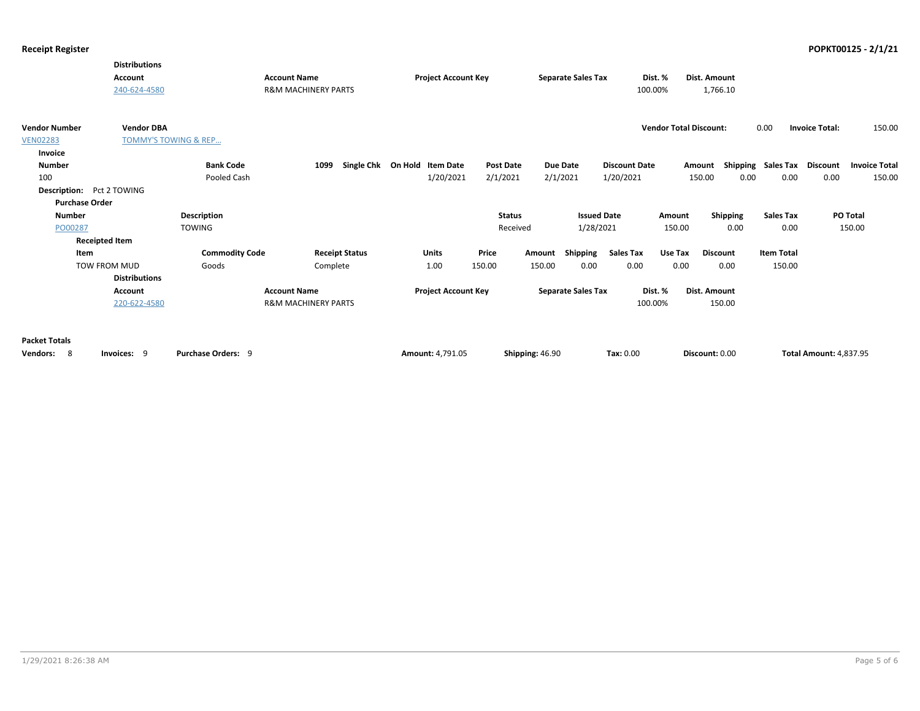|                      | <b>Distributions</b><br><b>Account</b><br>240-624-4580 |                       | <b>Account Name</b><br><b>R&amp;M MACHINERY PARTS</b> | <b>Project Account Key</b>   |                  | <b>Separate Sales Tax</b> | Dist. %<br>100.00%   |                               | <b>Dist. Amount</b><br>1,766.10 |                             |                               |                      |
|----------------------|--------------------------------------------------------|-----------------------|-------------------------------------------------------|------------------------------|------------------|---------------------------|----------------------|-------------------------------|---------------------------------|-----------------------------|-------------------------------|----------------------|
| <b>Vendor Number</b> | <b>Vendor DBA</b>                                      |                       |                                                       |                              |                  |                           |                      | <b>Vendor Total Discount:</b> |                                 | 0.00                        | <b>Invoice Total:</b>         | 150.00               |
| <b>VEN02283</b>      | <b>TOMMY'S TOWING &amp; REP</b>                        |                       |                                                       |                              |                  |                           |                      |                               |                                 |                             |                               |                      |
| Invoice              |                                                        |                       |                                                       |                              |                  |                           |                      |                               |                                 |                             |                               |                      |
| <b>Number</b>        |                                                        | <b>Bank Code</b>      | 1099                                                  | Single Chk On Hold Item Date | <b>Post Date</b> | Due Date                  | <b>Discount Date</b> | Amount                        |                                 | Shipping Sales Tax Discount |                               | <b>Invoice Total</b> |
| 100                  |                                                        | <b>Pooled Cash</b>    |                                                       | 1/20/2021                    | 2/1/2021         | 2/1/2021                  | 1/20/2021            |                               | 150.00<br>0.00                  | 0.00                        | 0.00                          | 150.00               |
|                      | <b>Description:</b> Pct 2 TOWING                       |                       |                                                       |                              |                  |                           |                      |                               |                                 |                             |                               |                      |
|                      | <b>Purchase Order</b>                                  |                       |                                                       |                              |                  |                           |                      |                               |                                 |                             |                               |                      |
| <b>Number</b>        |                                                        | <b>Description</b>    |                                                       |                              | <b>Status</b>    |                           | <b>Issued Date</b>   | Amount                        | Shipping                        | <b>Sales Tax</b>            |                               | PO Total             |
| PO00287              |                                                        | <b>TOWING</b>         |                                                       |                              | Received         |                           | 1/28/2021            | 150.00                        | 0.00                            | 0.00                        |                               | 150.00               |
|                      | <b>Receipted Item</b>                                  |                       |                                                       |                              |                  |                           |                      |                               |                                 |                             |                               |                      |
|                      | Item                                                   | <b>Commodity Code</b> | <b>Receipt Status</b>                                 | <b>Units</b>                 | Price            | Shipping<br>Amount        | <b>Sales Tax</b>     | Use Tax                       | <b>Discount</b>                 | <b>Item Total</b>           |                               |                      |
|                      | TOW FROM MUD                                           | Goods                 | Complete                                              | 1.00                         | 150.00           | 150.00<br>0.00            | 0.00                 | 0.00                          | 0.00                            | 150.00                      |                               |                      |
|                      | <b>Distributions</b>                                   |                       |                                                       |                              |                  |                           |                      |                               |                                 |                             |                               |                      |
|                      | Account                                                |                       | <b>Account Name</b>                                   | <b>Project Account Key</b>   |                  | <b>Separate Sales Tax</b> | Dist. %              |                               | Dist. Amount                    |                             |                               |                      |
|                      | 220-622-4580                                           |                       | <b>R&amp;M MACHINERY PARTS</b>                        |                              |                  |                           | 100.00%              |                               | 150.00                          |                             |                               |                      |
| <b>Packet Totals</b> |                                                        |                       |                                                       |                              |                  |                           |                      |                               |                                 |                             |                               |                      |
| -8<br>Vendors:       | Invoices: 9                                            | Purchase Orders: 9    |                                                       | Amount: 4,791.05             | Shipping: 46.90  |                           | <b>Tax: 0.00</b>     |                               | Discount: 0.00                  |                             | <b>Total Amount: 4,837.95</b> |                      |